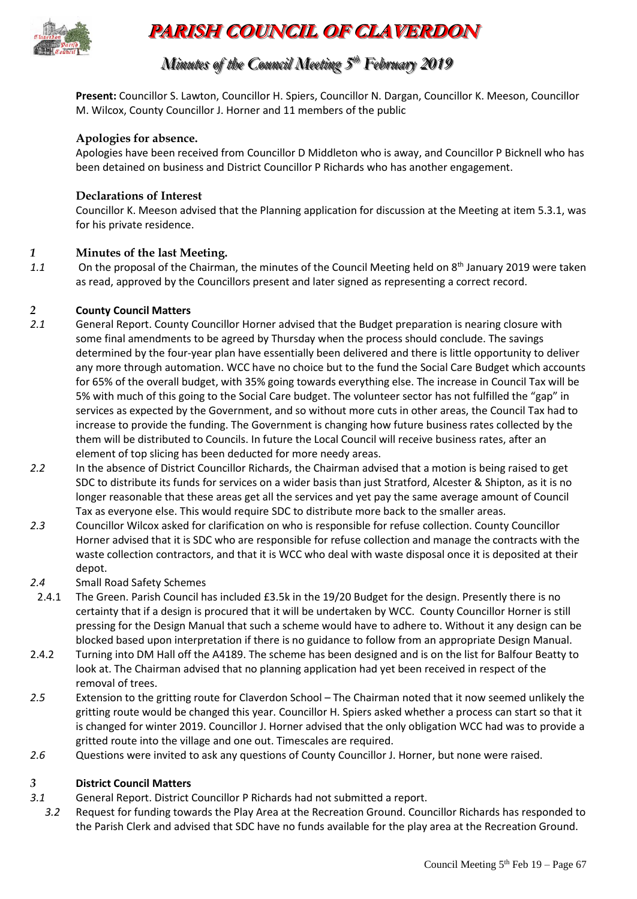

# **PARISH COUNCIL OF CLAVERDON**

## *Minutes of the Council Meeting 5 t thh February 2019*

**Present:** Councillor S. Lawton, Councillor H. Spiers, Councillor N. Dargan, Councillor K. Meeson, Councillor M. Wilcox, County Councillor J. Horner and 11 members of the public

#### **Apologies for absence.**

Apologies have been received from Councillor D Middleton who is away, and Councillor P Bicknell who has been detained on business and District Councillor P Richards who has another engagement.

#### **Declarations of Interest**

Councillor K. Meeson advised that the Planning application for discussion at the Meeting at item 5.3.1, was for his private residence.

#### *1* **Minutes of the last Meeting.**

1.1 On the proposal of the Chairman, the minutes of the Council Meeting held on 8<sup>th</sup> January 2019 were taken as read, approved by the Councillors present and later signed as representing a correct record.

#### *2* **County Council Matters**

- *2.1* General Report. County Councillor Horner advised that the Budget preparation is nearing closure with some final amendments to be agreed by Thursday when the process should conclude. The savings determined by the four-year plan have essentially been delivered and there is little opportunity to deliver any more through automation. WCC have no choice but to the fund the Social Care Budget which accounts for 65% of the overall budget, with 35% going towards everything else. The increase in Council Tax will be 5% with much of this going to the Social Care budget. The volunteer sector has not fulfilled the "gap" in services as expected by the Government, and so without more cuts in other areas, the Council Tax had to increase to provide the funding. The Government is changing how future business rates collected by the them will be distributed to Councils. In future the Local Council will receive business rates, after an element of top slicing has been deducted for more needy areas.
- *2.2* In the absence of District Councillor Richards, the Chairman advised that a motion is being raised to get SDC to distribute its funds for services on a wider basis than just Stratford, Alcester & Shipton, as it is no longer reasonable that these areas get all the services and yet pay the same average amount of Council Tax as everyone else. This would require SDC to distribute more back to the smaller areas.
- *2.3* Councillor Wilcox asked for clarification on who is responsible for refuse collection. County Councillor Horner advised that it is SDC who are responsible for refuse collection and manage the contracts with the waste collection contractors, and that it is WCC who deal with waste disposal once it is deposited at their depot.
- *2.4* Small Road Safety Schemes
- 2.4.1 The Green. Parish Council has included £3.5k in the 19/20 Budget for the design. Presently there is no certainty that if a design is procured that it will be undertaken by WCC. County Councillor Horner is still pressing for the Design Manual that such a scheme would have to adhere to. Without it any design can be blocked based upon interpretation if there is no guidance to follow from an appropriate Design Manual.
- 2.4.2 Turning into DM Hall off the A4189. The scheme has been designed and is on the list for Balfour Beatty to look at. The Chairman advised that no planning application had yet been received in respect of the removal of trees.
- *2.5* Extension to the gritting route for Claverdon School The Chairman noted that it now seemed unlikely the gritting route would be changed this year. Councillor H. Spiers asked whether a process can start so that it is changed for winter 2019. Councillor J. Horner advised that the only obligation WCC had was to provide a gritted route into the village and one out. Timescales are required.
- *2.6* Questions were invited to ask any questions of County Councillor J. Horner, but none were raised.

#### *3* **District Council Matters**

- *3.1* General Report. District Councillor P Richards had not submitted a report.
- *3.2* Request for funding towards the Play Area at the Recreation Ground. Councillor Richards has responded to the Parish Clerk and advised that SDC have no funds available for the play area at the Recreation Ground.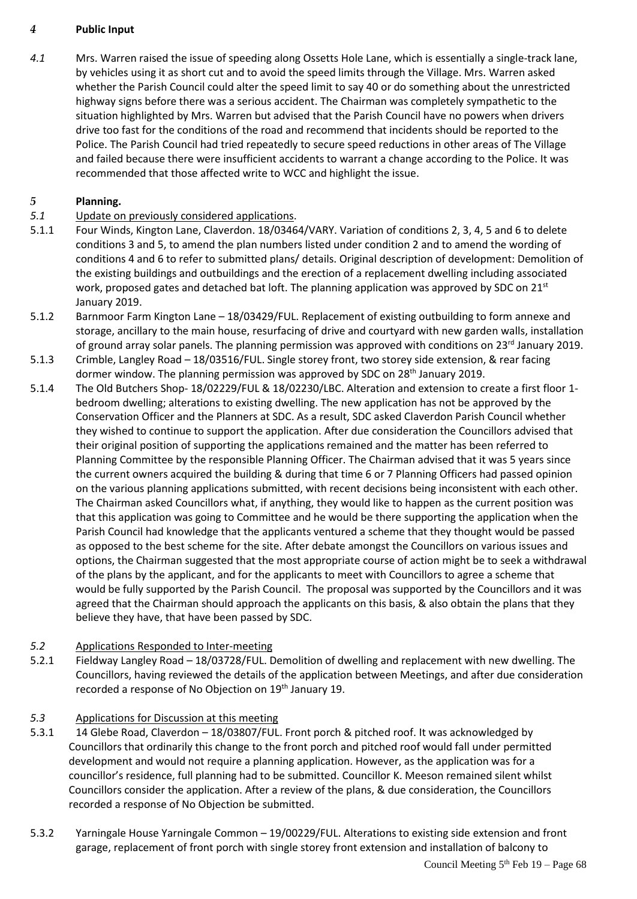#### *4* **Public Input**

*4.1* Mrs. Warren raised the issue of speeding along Ossetts Hole Lane, which is essentially a single-track lane, by vehicles using it as short cut and to avoid the speed limits through the Village. Mrs. Warren asked whether the Parish Council could alter the speed limit to say 40 or do something about the unrestricted highway signs before there was a serious accident. The Chairman was completely sympathetic to the situation highlighted by Mrs. Warren but advised that the Parish Council have no powers when drivers drive too fast for the conditions of the road and recommend that incidents should be reported to the Police. The Parish Council had tried repeatedly to secure speed reductions in other areas of The Village and failed because there were insufficient accidents to warrant a change according to the Police. It was recommended that those affected write to WCC and highlight the issue.

## *5* **Planning.**

- *5.1* Update on previously considered applications.
- 5.1.1 Four Winds, Kington Lane, Claverdon. 18/03464/VARY. Variation of conditions 2, 3, 4, 5 and 6 to delete conditions 3 and 5, to amend the plan numbers listed under condition 2 and to amend the wording of conditions 4 and 6 to refer to submitted plans/ details. Original description of development: Demolition of the existing buildings and outbuildings and the erection of a replacement dwelling including associated work, proposed gates and detached bat loft. The planning application was approved by SDC on  $21<sup>st</sup>$ January 2019.
- 5.1.2 Barnmoor Farm Kington Lane 18/03429/FUL. Replacement of existing outbuilding to form annexe and storage, ancillary to the main house, resurfacing of drive and courtyard with new garden walls, installation of ground array solar panels. The planning permission was approved with conditions on 23<sup>rd</sup> January 2019.
- 5.1.3 Crimble, Langley Road 18/03516/FUL. Single storey front, two storey side extension, & rear facing dormer window. The planning permission was approved by SDC on 28<sup>th</sup> January 2019.
- 5.1.4 The Old Butchers Shop- 18/02229/FUL & 18/02230/LBC. Alteration and extension to create a first floor 1 bedroom dwelling; alterations to existing dwelling. The new application has not be approved by the Conservation Officer and the Planners at SDC. As a result, SDC asked Claverdon Parish Council whether they wished to continue to support the application. After due consideration the Councillors advised that their original position of supporting the applications remained and the matter has been referred to Planning Committee by the responsible Planning Officer. The Chairman advised that it was 5 years since the current owners acquired the building & during that time 6 or 7 Planning Officers had passed opinion on the various planning applications submitted, with recent decisions being inconsistent with each other. The Chairman asked Councillors what, if anything, they would like to happen as the current position was that this application was going to Committee and he would be there supporting the application when the Parish Council had knowledge that the applicants ventured a scheme that they thought would be passed as opposed to the best scheme for the site. After debate amongst the Councillors on various issues and options, the Chairman suggested that the most appropriate course of action might be to seek a withdrawal of the plans by the applicant, and for the applicants to meet with Councillors to agree a scheme that would be fully supported by the Parish Council. The proposal was supported by the Councillors and it was agreed that the Chairman should approach the applicants on this basis, & also obtain the plans that they believe they have, that have been passed by SDC.

## *5.2* Applications Responded to Inter-meeting

5.2.1 Fieldway Langley Road – 18/03728/FUL. Demolition of dwelling and replacement with new dwelling. The Councillors, having reviewed the details of the application between Meetings, and after due consideration recorded a response of No Objection on 19th January 19.

## *5.3* Applications for Discussion at this meeting

- 5.3.1 14 Glebe Road, Claverdon 18/03807/FUL. Front porch & pitched roof. It was acknowledged by Councillors that ordinarily this change to the front porch and pitched roof would fall under permitted development and would not require a planning application. However, as the application was for a councillor's residence, full planning had to be submitted. Councillor K. Meeson remained silent whilst Councillors consider the application. After a review of the plans, & due consideration, the Councillors recorded a response of No Objection be submitted.
- 5.3.2 Yarningale House Yarningale Common 19/00229/FUL. Alterations to existing side extension and front garage, replacement of front porch with single storey front extension and installation of balcony to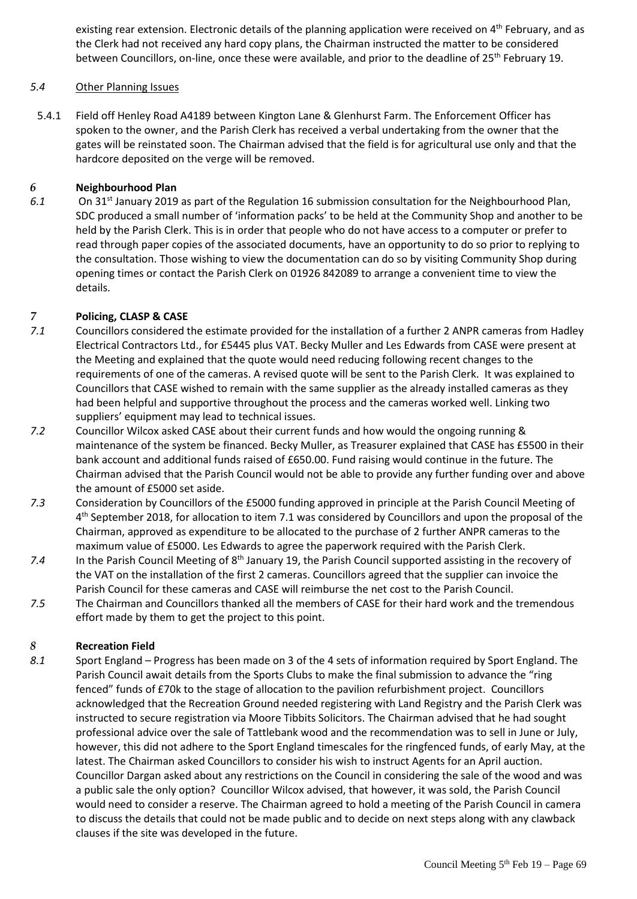existing rear extension. Electronic details of the planning application were received on 4<sup>th</sup> February, and as the Clerk had not received any hard copy plans, the Chairman instructed the matter to be considered between Councillors, on-line, once these were available, and prior to the deadline of 25<sup>th</sup> February 19.

#### *5.4* Other Planning Issues

5.4.1 Field off Henley Road A4189 between Kington Lane & Glenhurst Farm. The Enforcement Officer has spoken to the owner, and the Parish Clerk has received a verbal undertaking from the owner that the gates will be reinstated soon. The Chairman advised that the field is for agricultural use only and that the hardcore deposited on the verge will be removed.

#### *6* **Neighbourhood Plan**

6.1 On 31<sup>st</sup> January 2019 as part of the Regulation 16 submission consultation for the Neighbourhood Plan, SDC produced a small number of 'information packs' to be held at the Community Shop and another to be held by the Parish Clerk. This is in order that people who do not have access to a computer or prefer to read through paper copies of the associated documents, have an opportunity to do so prior to replying to the consultation. Those wishing to view the documentation can do so by visiting Community Shop during opening times or contact the Parish Clerk on 01926 842089 to arrange a convenient time to view the details.

#### *7* **Policing, CLASP & CASE**

- *7.1* Councillors considered the estimate provided for the installation of a further 2 ANPR cameras from Hadley Electrical Contractors Ltd., for £5445 plus VAT. Becky Muller and Les Edwards from CASE were present at the Meeting and explained that the quote would need reducing following recent changes to the requirements of one of the cameras. A revised quote will be sent to the Parish Clerk. It was explained to Councillors that CASE wished to remain with the same supplier as the already installed cameras as they had been helpful and supportive throughout the process and the cameras worked well. Linking two suppliers' equipment may lead to technical issues.
- *7.2* Councillor Wilcox asked CASE about their current funds and how would the ongoing running & maintenance of the system be financed. Becky Muller, as Treasurer explained that CASE has £5500 in their bank account and additional funds raised of £650.00. Fund raising would continue in the future. The Chairman advised that the Parish Council would not be able to provide any further funding over and above the amount of £5000 set aside.
- *7.3* Consideration by Councillors of the £5000 funding approved in principle at the Parish Council Meeting of 4<sup>th</sup> September 2018, for allocation to item 7.1 was considered by Councillors and upon the proposal of the Chairman, approved as expenditure to be allocated to the purchase of 2 further ANPR cameras to the maximum value of £5000. Les Edwards to agree the paperwork required with the Parish Clerk.
- 7.4 In the Parish Council Meeting of 8<sup>th</sup> January 19, the Parish Council supported assisting in the recovery of the VAT on the installation of the first 2 cameras. Councillors agreed that the supplier can invoice the Parish Council for these cameras and CASE will reimburse the net cost to the Parish Council.
- *7.5* The Chairman and Councillors thanked all the members of CASE for their hard work and the tremendous effort made by them to get the project to this point.

#### *8* **Recreation Field**

*8.1* Sport England – Progress has been made on 3 of the 4 sets of information required by Sport England. The Parish Council await details from the Sports Clubs to make the final submission to advance the "ring fenced" funds of £70k to the stage of allocation to the pavilion refurbishment project. Councillors acknowledged that the Recreation Ground needed registering with Land Registry and the Parish Clerk was instructed to secure registration via Moore Tibbits Solicitors. The Chairman advised that he had sought professional advice over the sale of Tattlebank wood and the recommendation was to sell in June or July, however, this did not adhere to the Sport England timescales for the ringfenced funds, of early May, at the latest. The Chairman asked Councillors to consider his wish to instruct Agents for an April auction. Councillor Dargan asked about any restrictions on the Council in considering the sale of the wood and was a public sale the only option? Councillor Wilcox advised, that however, it was sold, the Parish Council would need to consider a reserve. The Chairman agreed to hold a meeting of the Parish Council in camera to discuss the details that could not be made public and to decide on next steps along with any clawback clauses if the site was developed in the future.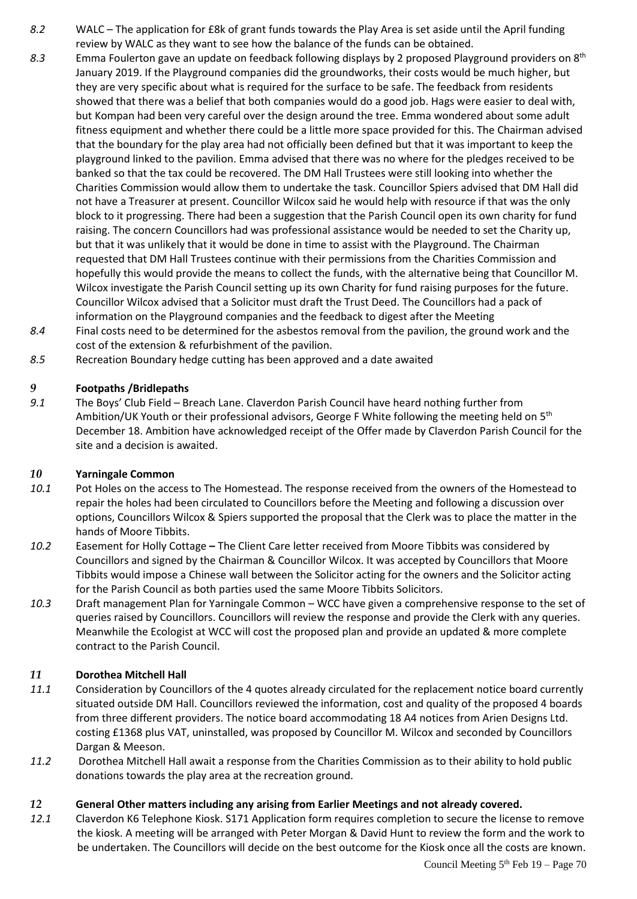- *8.2* WALC The application for £8k of grant funds towards the Play Area is set aside until the April funding review by WALC as they want to see how the balance of the funds can be obtained.
- *8.3* Emma Foulerton gave an update on feedback following displays by 2 proposed Playground providers on 8th January 2019. If the Playground companies did the groundworks, their costs would be much higher, but they are very specific about what is required for the surface to be safe. The feedback from residents showed that there was a belief that both companies would do a good job. Hags were easier to deal with, but Kompan had been very careful over the design around the tree. Emma wondered about some adult fitness equipment and whether there could be a little more space provided for this. The Chairman advised that the boundary for the play area had not officially been defined but that it was important to keep the playground linked to the pavilion. Emma advised that there was no where for the pledges received to be banked so that the tax could be recovered. The DM Hall Trustees were still looking into whether the Charities Commission would allow them to undertake the task. Councillor Spiers advised that DM Hall did not have a Treasurer at present. Councillor Wilcox said he would help with resource if that was the only block to it progressing. There had been a suggestion that the Parish Council open its own charity for fund raising. The concern Councillors had was professional assistance would be needed to set the Charity up, but that it was unlikely that it would be done in time to assist with the Playground. The Chairman requested that DM Hall Trustees continue with their permissions from the Charities Commission and hopefully this would provide the means to collect the funds, with the alternative being that Councillor M. Wilcox investigate the Parish Council setting up its own Charity for fund raising purposes for the future. Councillor Wilcox advised that a Solicitor must draft the Trust Deed. The Councillors had a pack of information on the Playground companies and the feedback to digest after the Meeting
- *8.4* Final costs need to be determined for the asbestos removal from the pavilion, the ground work and the cost of the extension & refurbishment of the pavilion.
- *8.5* Recreation Boundary hedge cutting has been approved and a date awaited

## *9* **Footpaths /Bridlepaths**

*9.1* The Boys' Club Field – Breach Lane. Claverdon Parish Council have heard nothing further from Ambition/UK Youth or their professional advisors, George F White following the meeting held on 5<sup>th</sup> December 18. Ambition have acknowledged receipt of the Offer made by Claverdon Parish Council for the site and a decision is awaited.

#### *10* **Yarningale Common**

- *10.1* Pot Holes on the access to The Homestead. The response received from the owners of the Homestead to repair the holes had been circulated to Councillors before the Meeting and following a discussion over options, Councillors Wilcox & Spiers supported the proposal that the Clerk was to place the matter in the hands of Moore Tibbits.
- *10.2* Easement for Holly Cottage **–** The Client Care letter received from Moore Tibbits was considered by Councillors and signed by the Chairman & Councillor Wilcox. It was accepted by Councillors that Moore Tibbits would impose a Chinese wall between the Solicitor acting for the owners and the Solicitor acting for the Parish Council as both parties used the same Moore Tibbits Solicitors.
- *10.3* Draft management Plan for Yarningale Common WCC have given a comprehensive response to the set of queries raised by Councillors. Councillors will review the response and provide the Clerk with any queries. Meanwhile the Ecologist at WCC will cost the proposed plan and provide an updated & more complete contract to the Parish Council.

#### *11* **Dorothea Mitchell Hall**

- *11.1* Consideration by Councillors of the 4 quotes already circulated for the replacement notice board currently situated outside DM Hall. Councillors reviewed the information, cost and quality of the proposed 4 boards from three different providers. The notice board accommodating 18 A4 notices from Arien Designs Ltd. costing £1368 plus VAT, uninstalled, was proposed by Councillor M. Wilcox and seconded by Councillors Dargan & Meeson.
- *11.2* Dorothea Mitchell Hall await a response from the Charities Commission as to their ability to hold public donations towards the play area at the recreation ground.

#### *12* **General Other matters including any arising from Earlier Meetings and not already covered.**

*12.1* Claverdon K6 Telephone Kiosk. S171 Application form requires completion to secure the license to remove the kiosk. A meeting will be arranged with Peter Morgan & David Hunt to review the form and the work to be undertaken. The Councillors will decide on the best outcome for the Kiosk once all the costs are known.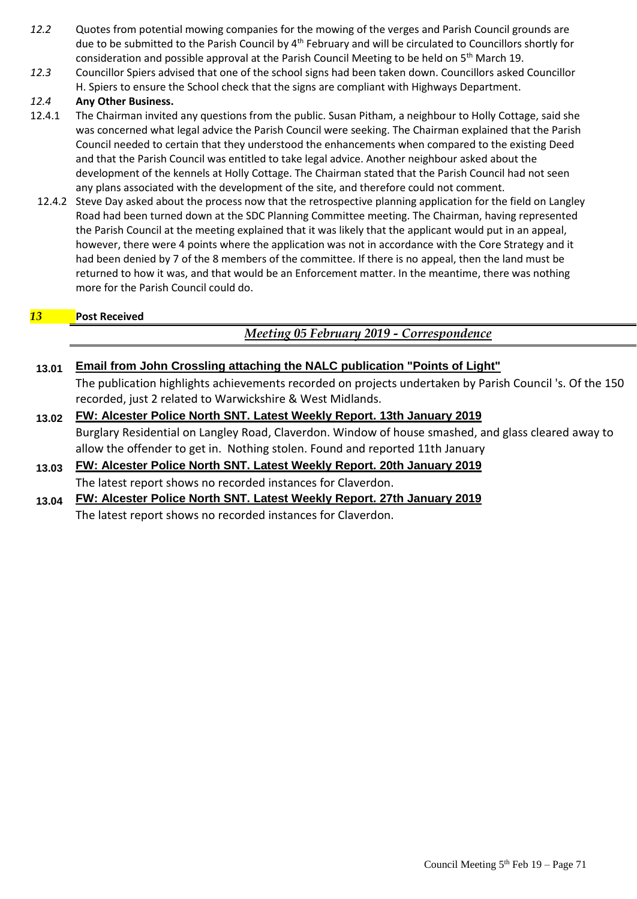- *12.2* Quotes from potential mowing companies for the mowing of the verges and Parish Council grounds are due to be submitted to the Parish Council by 4<sup>th</sup> February and will be circulated to Councillors shortly for consideration and possible approval at the Parish Council Meeting to be held on  $5<sup>th</sup>$  March 19.
- *12.3* Councillor Spiers advised that one of the school signs had been taken down. Councillors asked Councillor H. Spiers to ensure the School check that the signs are compliant with Highways Department.

#### *12.4* **Any Other Business.**

- 12.4.1 The Chairman invited any questions from the public. Susan Pitham, a neighbour to Holly Cottage, said she was concerned what legal advice the Parish Council were seeking. The Chairman explained that the Parish Council needed to certain that they understood the enhancements when compared to the existing Deed and that the Parish Council was entitled to take legal advice. Another neighbour asked about the development of the kennels at Holly Cottage. The Chairman stated that the Parish Council had not seen any plans associated with the development of the site, and therefore could not comment.
	- 12.4.2 Steve Day asked about the process now that the retrospective planning application for the field on Langley Road had been turned down at the SDC Planning Committee meeting. The Chairman, having represented the Parish Council at the meeting explained that it was likely that the applicant would put in an appeal, however, there were 4 points where the application was not in accordance with the Core Strategy and it had been denied by 7 of the 8 members of the committee. If there is no appeal, then the land must be returned to how it was, and that would be an Enforcement matter. In the meantime, there was nothing more for the Parish Council could do.

## *13* **Post Received**

## *Meeting 05 February 2019 - Correspondence*

## **13.01 Email from John Crossling attaching the NALC publication "Points of Light"**

The publication highlights achievements recorded on projects undertaken by Parish Council 's. Of the 150 recorded, just 2 related to Warwickshire & West Midlands.

- **13.02 FW: Alcester Police North SNT. Latest Weekly Report. 13th January 2019** Burglary Residential on Langley Road, Claverdon. Window of house smashed, and glass cleared away to allow the offender to get in. Nothing stolen. Found and reported 11th January
- **13.03 FW: Alcester Police North SNT. Latest Weekly Report. 20th January 2019** The latest report shows no recorded instances for Claverdon.
- **13.04 FW: Alcester Police North SNT. Latest Weekly Report. 27th January 2019** The latest report shows no recorded instances for Claverdon.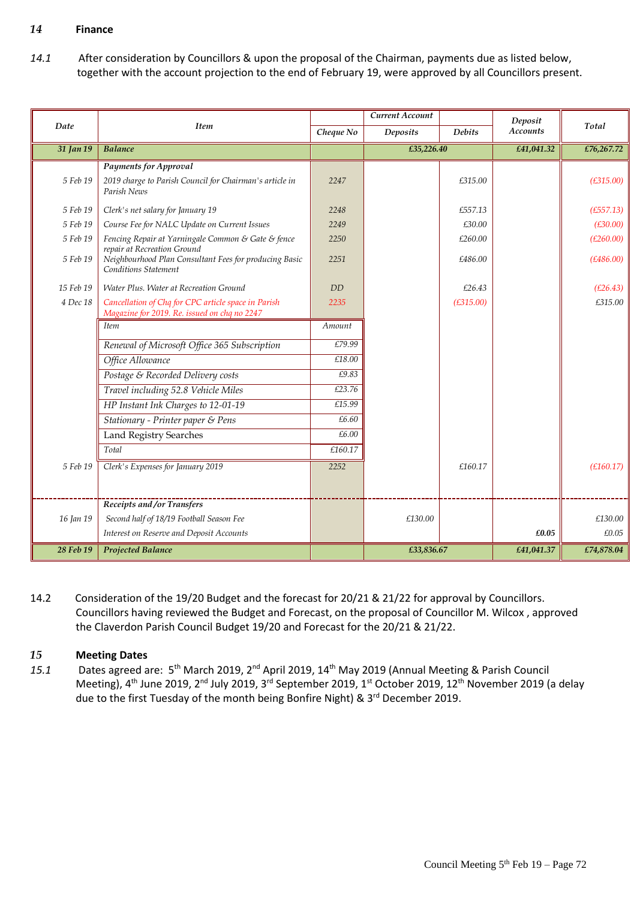#### *14* **Finance**

*14.1* After consideration by Councillors & upon the proposal of the Chairman, payments due as listed below, together with the account projection to the end of February 19, were approved by all Councillors present.

|           |                                                                                                                      |           | Current Account |               | Deposit         |            |
|-----------|----------------------------------------------------------------------------------------------------------------------|-----------|-----------------|---------------|-----------------|------------|
| Date      | <b>Item</b>                                                                                                          | Cheque No | <b>Deposits</b> | <b>Debits</b> | <b>Accounts</b> | Total      |
| 31 Jan 19 | <b>Balance</b>                                                                                                       |           | £35,226.40      |               | £41,041.32      | £76,267.72 |
|           | <b>Payments for Approval</b>                                                                                         |           |                 |               |                 |            |
| 5 Feb 19  | 2019 charge to Parish Council for Chairman's article in<br>Parish News                                               | 2247      |                 | £315.00       |                 | (E315.00)  |
| 5 Feb 19  | Clerk's net salary for January 19                                                                                    | 2248      |                 | £557.13       |                 | (E557.13)  |
| 5 Feb 19  | Course Fee for NALC Update on Current Issues                                                                         | 2249      |                 | £30.00        |                 | (E30.00)   |
| 5 Feb 19  | Fencing Repair at Yarningale Common & Gate & fence                                                                   | 2250      |                 | £260.00       |                 | (E260.00)  |
| 5 Feb 19  | repair at Recreation Ground<br>Neighbourhood Plan Consultant Fees for producing Basic<br><b>Conditions Statement</b> | 2251      |                 | £486.00       |                 | (E486.00)  |
| 15 Feb 19 | Water Plus. Water at Recreation Ground                                                                               | DD        |                 | £26.43        |                 | (E26.43)   |
| 4 Dec 18  | Cancellation of Chq for CPC article space in Parish<br>Magazine for 2019. Re. issued on chq no 2247                  | 2235      |                 | (E315.00)     |                 | £315.00    |
|           | <b>Item</b>                                                                                                          | Amount    |                 |               |                 |            |
|           | Renewal of Microsoft Office 365 Subscription                                                                         | £79.99    |                 |               |                 |            |
|           | Office Allowance                                                                                                     | £18.00    |                 |               |                 |            |
|           | Postage & Recorded Delivery costs                                                                                    | £9.83     |                 |               |                 |            |
|           | Travel including 52.8 Vehicle Miles                                                                                  | £23.76    |                 |               |                 |            |
|           | HP Instant Ink Charges to 12-01-19                                                                                   | £15.99    |                 |               |                 |            |
|           | Stationary - Printer paper & Pens                                                                                    | £6.60     |                 |               |                 |            |
|           | Land Registry Searches                                                                                               | £6.00     |                 |               |                 |            |
|           | Total                                                                                                                | £160.17   |                 |               |                 |            |
| 5 Feb 19  | Clerk's Expenses for January 2019                                                                                    | 2252      |                 | £160.17       |                 | (E160.17)  |
|           |                                                                                                                      |           |                 |               |                 |            |
|           | <b>Receipts and/or Transfers</b>                                                                                     |           |                 |               |                 |            |
| 16 Jan 19 | Second half of 18/19 Football Season Fee                                                                             |           | £130.00         |               |                 | £130.00    |
|           | Interest on Reserve and Deposit Accounts                                                                             |           |                 |               | £0.05           | £0.05      |
| 28 Feb 19 | <b>Projected Balance</b>                                                                                             |           | £33,836.67      |               | £41,041.37      | £74,878.04 |

14.2 Consideration of the 19/20 Budget and the forecast for 20/21 & 21/22 for approval by Councillors. Councillors having reviewed the Budget and Forecast, on the proposal of Councillor M. Wilcox , approved the Claverdon Parish Council Budget 19/20 and Forecast for the 20/21 & 21/22.

#### *15* **Meeting Dates**

15.1 Dates agreed are: 5<sup>th</sup> March 2019, 2<sup>nd</sup> April 2019, 14<sup>th</sup> May 2019 (Annual Meeting & Parish Council Meeting), 4<sup>th</sup> June 2019, 2<sup>nd</sup> July 2019, 3<sup>rd</sup> September 2019, 1<sup>st</sup> October 2019, 12<sup>th</sup> November 2019 (a delay due to the first Tuesday of the month being Bonfire Night) & 3<sup>rd</sup> December 2019.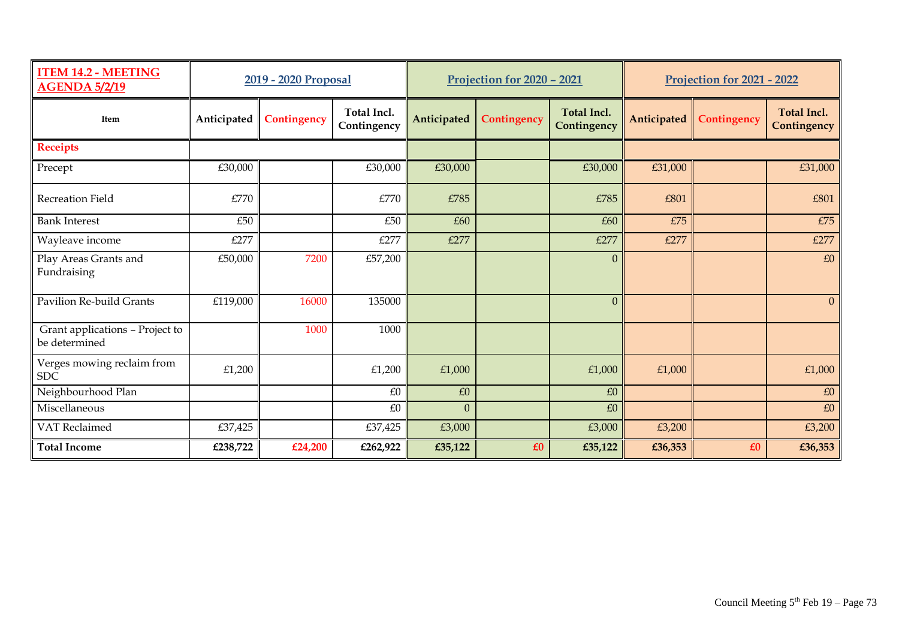| <b>ITEM 14.2 - MEETING</b><br><b>AGENDA 5/2/19</b> | 2019 - 2020 Proposal |             | Projection for 2020 - 2021 |              |             | <b>Projection for 2021 - 2022</b> |             |             |                                   |
|----------------------------------------------------|----------------------|-------------|----------------------------|--------------|-------------|-----------------------------------|-------------|-------------|-----------------------------------|
| Item                                               | Anticipated          | Contingency | Total Incl.<br>Contingency | Anticipated  | Contingency | <b>Total Incl.</b><br>Contingency | Anticipated | Contingency | <b>Total Incl.</b><br>Contingency |
| <b>Receipts</b>                                    |                      |             |                            |              |             |                                   |             |             |                                   |
| Precept                                            | £30,000              |             | £30,000                    | £30,000      |             | £30,000                           | £31,000     |             | £31,000                           |
| Recreation Field                                   | £770                 |             | £770                       | £785         |             | £785                              | £801        |             | £801                              |
| <b>Bank Interest</b>                               | £50                  |             | £50                        | £60          |             | £60                               | £75         |             | £75                               |
| Wayleave income                                    | £277                 |             | £277                       | £277         |             | £277                              | £277        |             | £277                              |
| Play Areas Grants and<br>Fundraising               | £50,000              | 7200        | £57,200                    |              |             | $\Omega$                          |             |             | £0                                |
| Pavilion Re-build Grants                           | £119,000             | 16000       | 135000                     |              |             | $\Omega$                          |             |             | $\Omega$                          |
| Grant applications - Project to<br>be determined   |                      | 1000        | 1000                       |              |             |                                   |             |             |                                   |
| Verges mowing reclaim from<br><b>SDC</b>           | £1,200               |             | £1,200                     | £1,000       |             | £1,000                            | £1,000      |             | £1,000                            |
| Neighbourhood Plan                                 |                      |             | £0                         | $\pounds0$   |             | £0                                |             |             | £0                                |
| Miscellaneous                                      |                      |             | £0                         | $\mathbf{0}$ |             | £0                                |             |             | £0                                |
| VAT Reclaimed                                      | £37,425              |             | £37,425                    | £3,000       |             | £3,000                            | £3,200      |             | £3,200                            |
| <b>Total Income</b>                                | £238,722             | £24,200     | £262,922                   | £35,122      | £0          | £35,122                           | £36,353     | £0          | £36,353                           |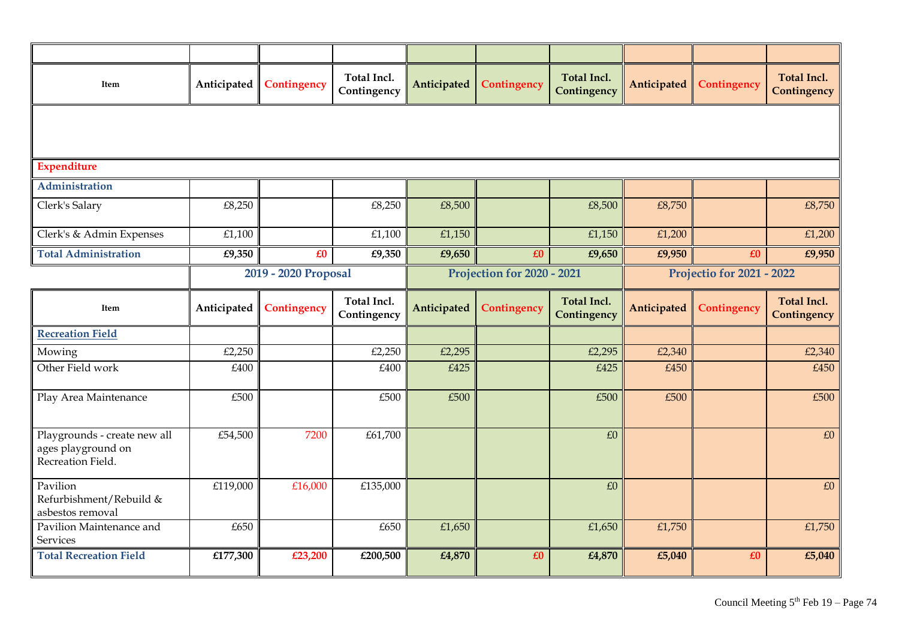| Item                                                                    | Anticipated          | Contingency | Total Incl.<br>Contingency | Anticipated | Contingency | <b>Total Incl.</b><br>Contingency | Anticipated | Contingency | <b>Total Incl.</b><br>Contingency |
|-------------------------------------------------------------------------|----------------------|-------------|----------------------------|-------------|-------------|-----------------------------------|-------------|-------------|-----------------------------------|
|                                                                         |                      |             |                            |             |             |                                   |             |             |                                   |
| <b>Expenditure</b>                                                      |                      |             |                            |             |             |                                   |             |             |                                   |
| Administration                                                          |                      |             |                            |             |             |                                   |             |             |                                   |
| Clerk's Salary                                                          | £8,250               |             | £8,250                     | £8,500      |             | £8,500                            | £8,750      |             | £8,750                            |
| Clerk's & Admin Expenses                                                | £1,100               |             | £1,100                     | £1,150      |             | £1,150                            | £1,200      |             | £1,200                            |
| <b>Total Administration</b>                                             | £9,350               | £0          | £9,350                     | £9,650      | £0          | £9,650                            | £9,950      | £0          | £9,950                            |
|                                                                         | 2019 - 2020 Proposal |             | Projection for 2020 - 2021 |             |             | <b>Projectio for 2021 - 2022</b>  |             |             |                                   |
| Item                                                                    | Anticipated          | Contingency | Total Incl.<br>Contingency | Anticipated | Contingency | <b>Total Incl.</b><br>Contingency | Anticipated | Contingency | <b>Total Incl.</b><br>Contingency |
| <b>Recreation Field</b>                                                 |                      |             |                            |             |             |                                   |             |             |                                   |
| Mowing                                                                  | £2,250               |             | £2,250                     | £2,295      |             | £2,295                            | £2,340      |             | £2,340                            |
| Other Field work                                                        | £400                 |             | £400                       | £425        |             | £425                              | £450        |             | £450                              |
| Play Area Maintenance                                                   | £500                 |             | £500                       | £500        |             | £500                              | £500        |             | £500                              |
| Playgrounds - create new all<br>ages playground on<br>Recreation Field. | £54,500              | 7200        | £61,700                    |             |             | £0                                |             |             | £0                                |
| Pavilion<br>Refurbishment/Rebuild &<br>asbestos removal                 | £119,000             | £16,000     | £135,000                   |             |             | £0                                |             |             | $\pounds0$                        |
| Pavilion Maintenance and<br>Services                                    | £650                 |             | £650                       | £1,650      |             | £1,650                            | £1,750      |             | £1,750                            |
| <b>Total Recreation Field</b>                                           | £177,300             | £23,200     | £200,500                   | £4,870      | £0          | £4,870                            | £5,040      | £0          | £5,040                            |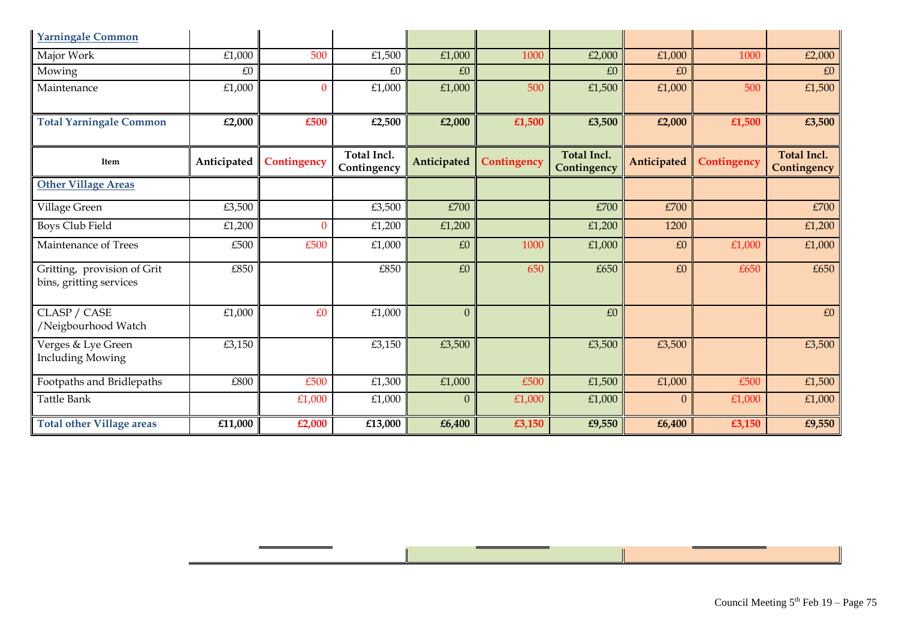| <b>Yarningale Common</b>                               |             |             |                            |                |             |                                   |                  |             |                                   |
|--------------------------------------------------------|-------------|-------------|----------------------------|----------------|-------------|-----------------------------------|------------------|-------------|-----------------------------------|
| Major Work                                             | £1,000      | 500         | £1,500                     | £1,000         | 1000        | £2,000                            | £1,000           | 1000        | £2,000                            |
| Mowing                                                 | £0          |             | £0                         | £0             |             | £0                                | £0               |             | £0                                |
| Maintenance                                            | £1,000      | $\Omega$    | £1,000                     | £1,000         | 500         | £1,500                            | £1,000           | 500         | £1,500                            |
| <b>Total Yarningale Common</b>                         | £2,000      | £500        | £2,500                     | £2,000         | £1,500      | £3,500                            | £2,000           | £1,500      | £3,500                            |
| Item                                                   | Anticipated | Contingency | Total Incl.<br>Contingency | Anticipated    | Contingency | <b>Total Incl.</b><br>Contingency | Anticipated      | Contingency | <b>Total Incl.</b><br>Contingency |
| <b>Other Village Areas</b>                             |             |             |                            |                |             |                                   |                  |             |                                   |
| Village Green                                          | £3,500      |             | £3,500                     | £700           |             | £700                              | £700             |             | £700                              |
| <b>Boys Club Field</b>                                 | £1,200      | $\Omega$    | £1,200                     | £1,200         |             | £1,200                            | 1200             |             | £1,200                            |
| Maintenance of Trees                                   | £500        | £500        | £1,000                     | $\pounds 0$    | 1000        | £1,000                            | $\pounds0$       | £1,000      | £1,000                            |
| Gritting, provision of Grit<br>bins, gritting services | £850        |             | £850                       | £0             | 650         | £650                              | £0               | £650        | £650                              |
| CLASP / CASE<br>/Neigbourhood Watch                    | £1,000      | £0          | £1,000                     | $\mathbf{0}$   |             | £0                                |                  |             | £0                                |
| Verges & Lye Green<br><b>Including Mowing</b>          | £3,150      |             | £3,150                     | £3,500         |             | £3,500                            | £3,500           |             | £3,500                            |
| Footpaths and Bridlepaths                              | £800        | £500        | £1,300                     | £1,000         | £500        | £1,500                            | £1,000           | £500        | £1,500                            |
| Tattle Bank                                            |             | £1,000      | £1,000                     | $\overline{0}$ | £1,000      | £1,000                            | $\boldsymbol{0}$ | £1,000      | £1,000                            |
| <b>Total other Village areas</b>                       | £11,000     | £2,000      | £13,000                    | £6,400         | £3,150      | £9,550                            | £6,400           | £3,150      | £9,550                            |